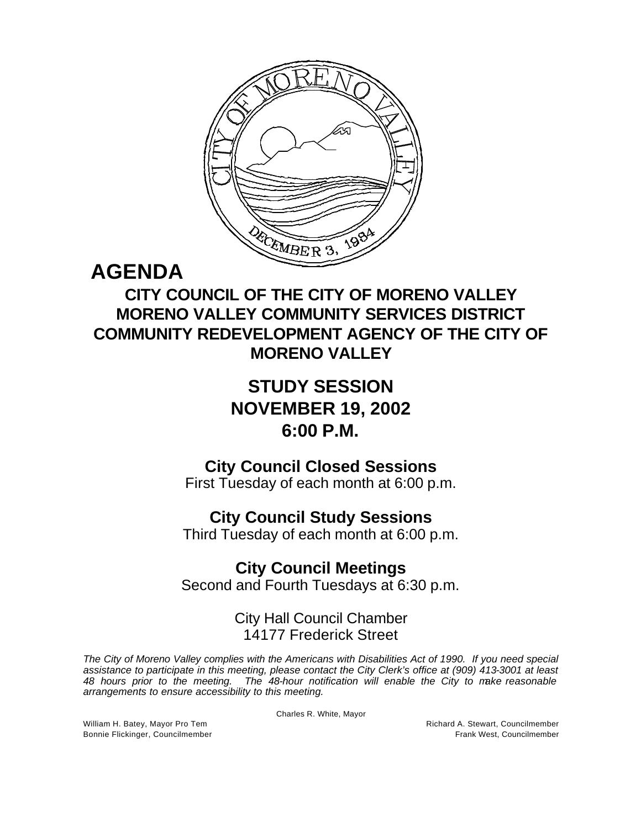

# **AGENDA**

## **CITY COUNCIL OF THE CITY OF MORENO VALLEY MORENO VALLEY COMMUNITY SERVICES DISTRICT COMMUNITY REDEVELOPMENT AGENCY OF THE CITY OF MORENO VALLEY**

## **STUDY SESSION NOVEMBER 19, 2002 6:00 P.M.**

**City Council Closed Sessions**

First Tuesday of each month at 6:00 p.m.

### **City Council Study Sessions**

Third Tuesday of each month at 6:00 p.m.

**City Council Meetings** Second and Fourth Tuesdays at 6:30 p.m.

### City Hall Council Chamber 14177 Frederick Street

*The City of Moreno Valley complies with the Americans with Disabilities Act of 1990. If you need special assistance to participate in this meeting, please contact the City Clerk's office at (909) 413-3001 at least 48 hours prior to the meeting. The 48-hour notification will enable the City to make reasonable arrangements to ensure accessibility to this meeting.*

Charles R. White, Mayor

William H. Batey, Mayor Pro Tem **Richard A. Stewart, Councilmember** Richard A. Stewart, Councilmember Bonnie Flickinger, Councilmember Frank West, Councilmember Frank West, Councilmember Frank West, Councilmember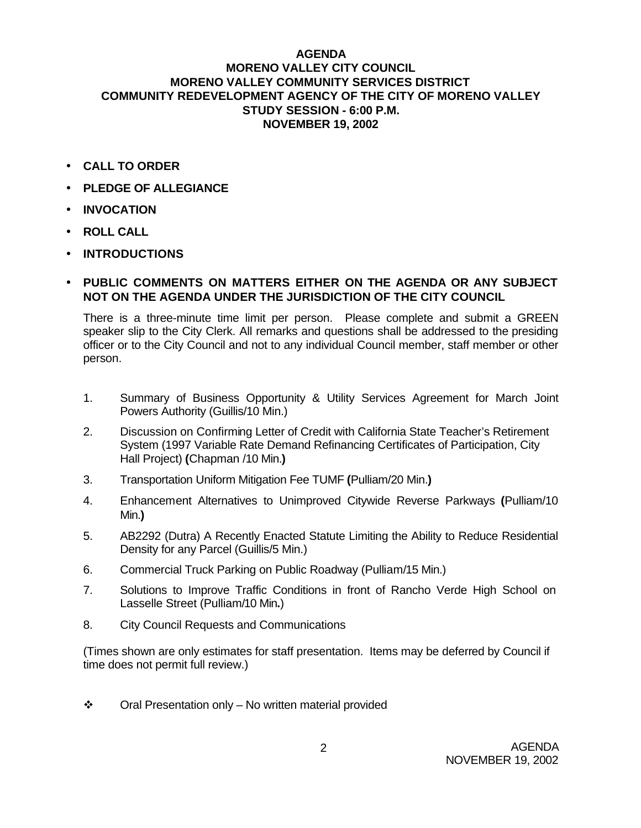#### **AGENDA MORENO VALLEY CITY COUNCIL MORENO VALLEY COMMUNITY SERVICES DISTRICT COMMUNITY REDEVELOPMENT AGENCY OF THE CITY OF MORENO VALLEY STUDY SESSION - 6:00 P.M. NOVEMBER 19, 2002**

- **CALL TO ORDER**
- **PLEDGE OF ALLEGIANCE**
- **INVOCATION**
- **ROLL CALL**
- **INTRODUCTIONS**
- **PUBLIC COMMENTS ON MATTERS EITHER ON THE AGENDA OR ANY SUBJECT NOT ON THE AGENDA UNDER THE JURISDICTION OF THE CITY COUNCIL**

There is a three-minute time limit per person. Please complete and submit a GREEN speaker slip to the City Clerk. All remarks and questions shall be addressed to the presiding officer or to the City Council and not to any individual Council member, staff member or other person.

- 1. Summary of Business Opportunity & Utility Services Agreement for March Joint Powers Authority (Guillis/10 Min.)
- 2. Discussion on Confirming Letter of Credit with California State Teacher's Retirement System (1997 Variable Rate Demand Refinancing Certificates of Participation, City Hall Project) **(**Chapman /10 Min.**)**
- 3. Transportation Uniform Mitigation Fee TUMF **(**Pulliam/20 Min.**)**
- 4. Enhancement Alternatives to Unimproved Citywide Reverse Parkways **(**Pulliam/10 Min.**)**
- 5. AB2292 (Dutra) A Recently Enacted Statute Limiting the Ability to Reduce Residential Density for any Parcel (Guillis/5 Min.)
- 6. Commercial Truck Parking on Public Roadway (Pulliam/15 Min.)
- 7. Solutions to Improve Traffic Conditions in front of Rancho Verde High School on Lasselle Street (Pulliam/10 Min**.**)
- 8. City Council Requests and Communications

(Times shown are only estimates for staff presentation. Items may be deferred by Council if time does not permit full review.)

 $\div$  Oral Presentation only – No written material provided